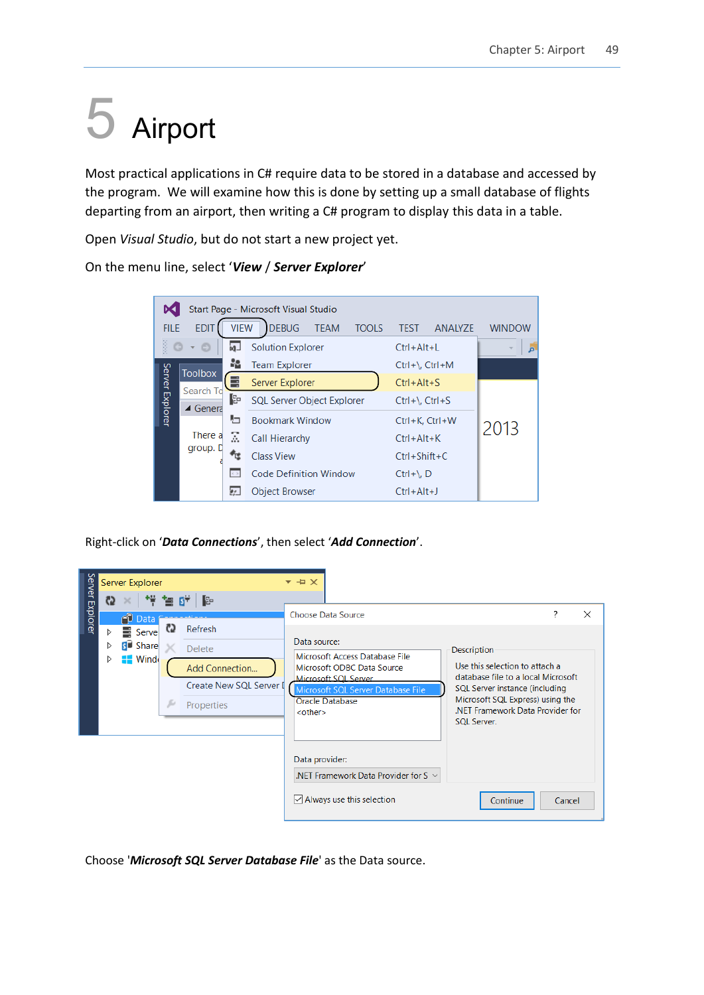## 5 Airport

Most practical applications in C# require data to be stored in a database and accessed by the program. We will examine how this is done by setting up a small database of flights departing from an airport, then writing a C# program to display this data in a table.

Open *Visual Studio*, but do not start a new project yet.

|                 |                    |             | Start Page - Microsoft Visual Studio        |                                 |               |
|-----------------|--------------------|-------------|---------------------------------------------|---------------------------------|---------------|
| <b>FILE</b>     | <b>EDIT</b>        | <b>VIEW</b> | <b>DEBUG</b><br><b>TEAM</b><br><b>TOOLS</b> | <b>TEST</b><br><b>ANALYZE</b>   | <b>WINDOW</b> |
| SSS             | o                  | i⊲⊔         | <b>Solution Explorer</b>                    | Ctrl+Alt+L                      | v             |
|                 | <b>Toolbox</b>     | M.          | <b>Team Explorer</b>                        | Ctrl+\, Ctrl+M                  |               |
|                 | Search To          | E           | Server Explorer                             | $Ctrl + Alt + S$                |               |
| Server Explorer | $\triangle$ Genera | Γe          | SQL Server Object Explorer                  | $Ctrl + \setminus$ , $Ctrl + S$ |               |
|                 |                    | ł۳          | <b>Bookmark Window</b>                      | Ctrl+K, Ctrl+W                  |               |
|                 | There a            | Σ           | Call Hierarchy                              | $Ctrl + Alt + K$                | 2013          |
|                 | group. D           |             | <b>Class View</b>                           | $Ctrl + Shift + C$              |               |
|                 |                    | 6.31        | <b>Code Definition Window</b>               | $Ctrl + \setminus D$            |               |
|                 |                    | e :         | <b>Object Browser</b>                       | $Ctrl + Alt + J$                |               |

On the menu line, select '*View* / *Server Explorer*'

Right-click on '*Data Connections*', then select '*Add Connection*'.

|                 |               | Server Explorer                                              |         |                                                                                                                               | + ×                                                                                                                                                                                                                                                                                                                                                                                                                                   |        |
|-----------------|---------------|--------------------------------------------------------------|---------|-------------------------------------------------------------------------------------------------------------------------------|---------------------------------------------------------------------------------------------------------------------------------------------------------------------------------------------------------------------------------------------------------------------------------------------------------------------------------------------------------------------------------------------------------------------------------------|--------|
| Server Explorer | C)<br>D.<br>D | PD Data<br><b>B</b> Serve<br><b>S</b> Share<br><b>E</b> Wind | C)<br>s | $\times$ # $\pm$ of $\mathbb B$<br>Refresh<br><b>Delete</b><br><b>Add Connection</b><br>Create New SQL Server I<br>Properties | <b>Choose Data Source</b><br>Data source:<br>Description<br>Microsoft Access Database File<br>Use this selection to attach a<br>Microsoft ODBC Data Source<br>database file to a local Microsoft<br>Microsoft SOL Server<br>SQL Server instance (including<br>Microsoft SQL Server Database File<br>Microsoft SQL Express) using the<br>Oracle Database<br>.NET Framework Data Provider for<br><other><br/><b>SQL Server.</b></other> | ?<br>X |
|                 |               |                                                              |         |                                                                                                                               | Data provider:<br>.NET Framework Data Provider for S $\sim$<br>$\vee$ Always use this selection<br>Continue                                                                                                                                                                                                                                                                                                                           | Cancel |

Choose '*Microsoft SQL Server Database File*' as the Data source.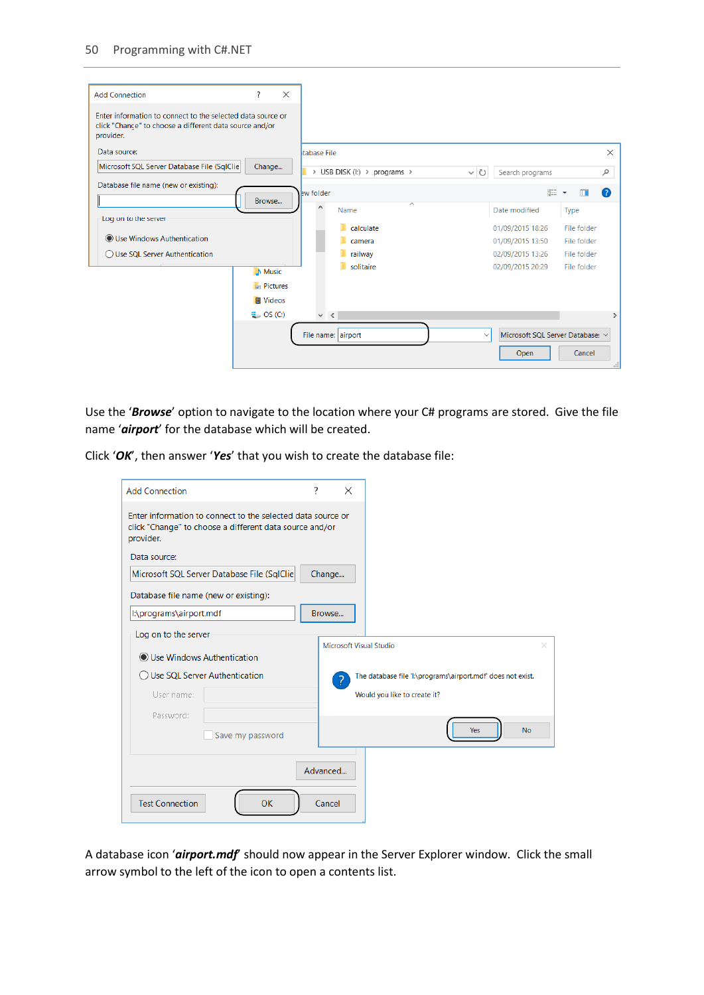| <b>Add Connection</b>                                                                                                               | ?                     |                                                                                                                                                                                                                                                                                                                                                                     |                                             |                  |  |
|-------------------------------------------------------------------------------------------------------------------------------------|-----------------------|---------------------------------------------------------------------------------------------------------------------------------------------------------------------------------------------------------------------------------------------------------------------------------------------------------------------------------------------------------------------|---------------------------------------------|------------------|--|
| Enter information to connect to the selected data source or<br>click "Change" to choose a different data source and/or<br>provider. |                       |                                                                                                                                                                                                                                                                                                                                                                     |                                             |                  |  |
| Data source:                                                                                                                        |                       |                                                                                                                                                                                                                                                                                                                                                                     | Itabase File                                |                  |  |
| Microsoft SQL Server Database File (SqlClie)                                                                                        | Change                |                                                                                                                                                                                                                                                                                                                                                                     | > USB DISK (I:) > programs >                |                  |  |
| Database file name (new or existing):                                                                                               |                       |                                                                                                                                                                                                                                                                                                                                                                     | ew folder                                   |                  |  |
| Log on to the server                                                                                                                |                       |                                                                                                                                                                                                                                                                                                                                                                     | $\widehat{\phantom{a}}$<br>$\wedge$<br>Name | Date modified    |  |
|                                                                                                                                     |                       |                                                                                                                                                                                                                                                                                                                                                                     | calculate                                   | 01/09/2015 18:26 |  |
| ◉ Use Windows Authentication                                                                                                        |                       |                                                                                                                                                                                                                                                                                                                                                                     | camera                                      | 01/09/2015 13:50 |  |
| ◯ Use SOL Server Authentication                                                                                                     |                       |                                                                                                                                                                                                                                                                                                                                                                     | railway                                     | 02/09/2015 13:26 |  |
|                                                                                                                                     | <b>Nusic</b>          | $\times$<br>$\times$<br>٩<br>Search programs<br>∨ U<br>HE +<br>Q<br>Browse<br><b>Type</b><br>File folder<br>File folder<br>File folder<br>solitaire<br>02/09/2015 20:29<br>File folder<br>$\blacksquare$ Pictures<br><b>圖 Videos</b><br>$\vee$ <<br>$\rightarrow$<br>Microsoft SQL Server Database: v<br>File name: airport<br>$\checkmark$<br>Cancel<br>Open<br>d. |                                             |                  |  |
|                                                                                                                                     |                       |                                                                                                                                                                                                                                                                                                                                                                     |                                             |                  |  |
|                                                                                                                                     |                       |                                                                                                                                                                                                                                                                                                                                                                     |                                             |                  |  |
|                                                                                                                                     | $\frac{1}{2}$ OS (C:) |                                                                                                                                                                                                                                                                                                                                                                     |                                             |                  |  |
|                                                                                                                                     |                       |                                                                                                                                                                                                                                                                                                                                                                     |                                             |                  |  |
|                                                                                                                                     |                       |                                                                                                                                                                                                                                                                                                                                                                     |                                             |                  |  |

Use the '*Browse*' option to navigate to the location where your C# programs are stored. Give the file name '*airport*' for the database which will be created.

Click '*OK*', then answer '*Yes*' that you wish to create the database file:

| <b>Add Connection</b>                                                                                                               | ?        | $\times$                       |                                                             |           |
|-------------------------------------------------------------------------------------------------------------------------------------|----------|--------------------------------|-------------------------------------------------------------|-----------|
| Enter information to connect to the selected data source or<br>click "Change" to choose a different data source and/or<br>provider. |          |                                |                                                             |           |
| Data source:                                                                                                                        |          |                                |                                                             |           |
| Microsoft SQL Server Database File (SqlClie                                                                                         | Change   |                                |                                                             |           |
| Database file name (new or existing):                                                                                               |          |                                |                                                             |           |
| l:\programs\airport.mdf                                                                                                             | Browse   |                                |                                                             |           |
| Log on to the server<br>◉ Use Windows Authentication                                                                                |          | <b>Microsoft Visual Studio</b> |                                                             | $\times$  |
| Use SQL Server Authentication                                                                                                       |          |                                | The database file 'l:\programs\airport.mdf' does not exist. |           |
| User name:                                                                                                                          |          |                                | Would you like to create it?                                |           |
| Password:                                                                                                                           |          |                                |                                                             |           |
| Save my password                                                                                                                    |          |                                | <b>Yes</b>                                                  | <b>No</b> |
|                                                                                                                                     | Advanced |                                |                                                             |           |
| OK<br><b>Test Connection</b>                                                                                                        | Cancel   |                                |                                                             |           |

A database icon '*airport.mdf*' should now appear in the Server Explorer window. Click the small arrow symbol to the left of the icon to open a contents list.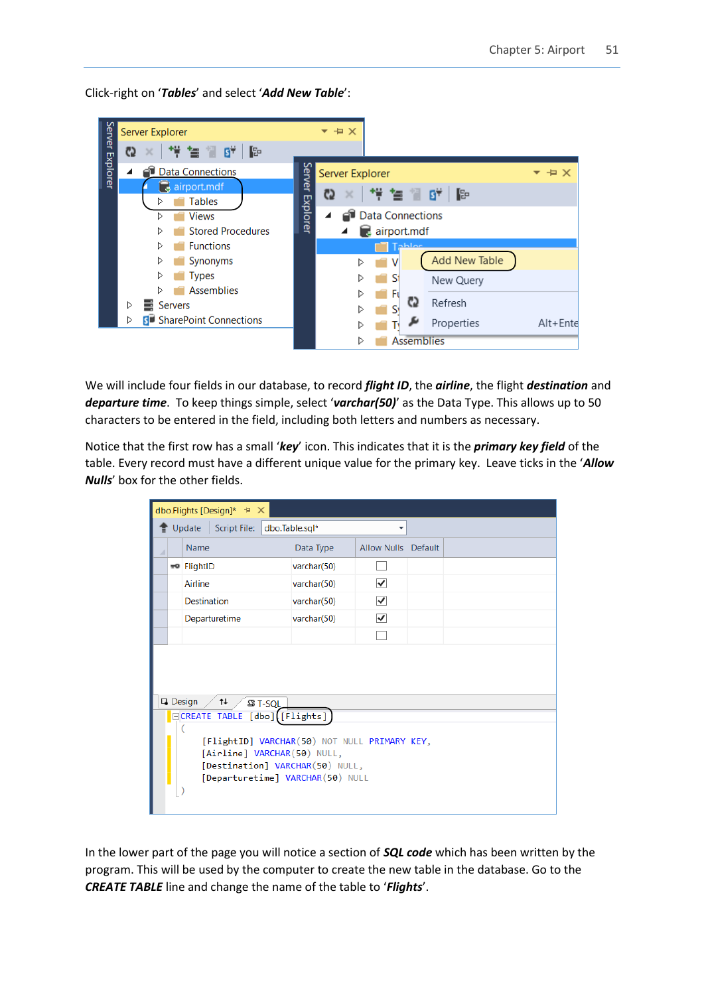Click-right on '*Tables*' and select '*Add New Table*':



We will include four fields in our database, to record *flight ID*, the *airline*, the flight *destination* and *departure time*. To keep things simple, select '*varchar(50)*' as the Data Type. This allows up to 50 characters to be entered in the field, including both letters and numbers as necessary.

Notice that the first row has a small '*key*' icon. This indicates that it is the *primary key field* of the table. Every record must have a different unique value for the primary key. Leave ticks in the '*Allow Nulls*' box for the other fields.

|  | dbo.Flights [Design]* + ×                                                                                                                          |                |                      |  |  |  |
|--|----------------------------------------------------------------------------------------------------------------------------------------------------|----------------|----------------------|--|--|--|
|  | Script File:<br>Update                                                                                                                             | dbo.Table.sql* | ▼                    |  |  |  |
|  | Name                                                                                                                                               | Data Type      | Allow Nulls Default  |  |  |  |
|  | mo FlightID                                                                                                                                        | varchar(50)    |                      |  |  |  |
|  | Airline                                                                                                                                            | varchar(50)    | $\blacktriangledown$ |  |  |  |
|  | <b>Destination</b>                                                                                                                                 | varchar(50)    | ▽                    |  |  |  |
|  | Departuretime                                                                                                                                      | varchar(50)    | $\checkmark$         |  |  |  |
|  |                                                                                                                                                    |                |                      |  |  |  |
|  | Design<br>$\dagger$<br><b>B T-SQL</b>                                                                                                              |                |                      |  |  |  |
|  | ECREATE TABLE [dbo] [Flights]                                                                                                                      |                |                      |  |  |  |
|  | [FlightID] VARCHAR(50) NOT NULL PRIMARY KEY,<br>[Airline] VARCHAR(50) NULL,<br>[Destination] VARCHAR(50) NULL,<br>[Departuretime] VARCHAR(50) NULL |                |                      |  |  |  |

In the lower part of the page you will notice a section of *SQL code* which has been written by the program. This will be used by the computer to create the new table in the database. Go to the *CREATE TABLE* line and change the name of the table to '*Flights*'.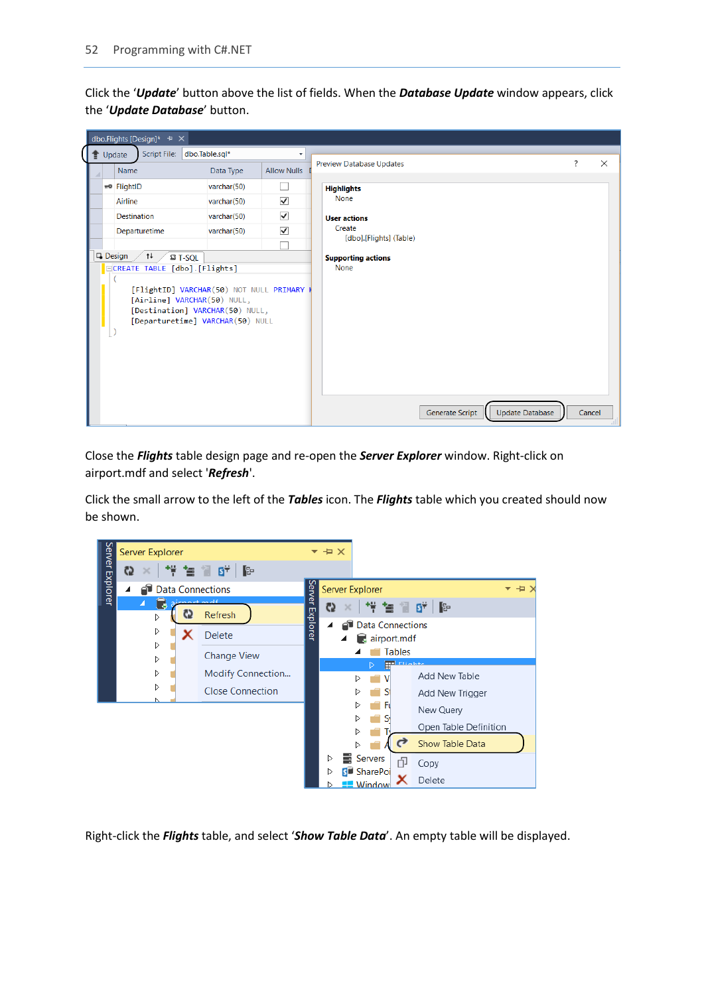Click the '*Update*' button above the list of fields. When the *Database Update* window appears, click the '*Update Database*' button.

|  | dbo.Flights [Design]* $\pm$ X                                                                                                                                                    |                |                      |                                                  |        |          |
|--|----------------------------------------------------------------------------------------------------------------------------------------------------------------------------------|----------------|----------------------|--------------------------------------------------|--------|----------|
|  | Script File:<br>$\bullet$ Update                                                                                                                                                 | dbo.Table.sql* | ٠                    |                                                  |        |          |
|  | Name                                                                                                                                                                             | Data Type      | <b>Allow Nulls</b>   | <b>Preview Database Updates</b>                  | ?      | $\times$ |
|  | mo FlightID                                                                                                                                                                      | varchar(50)    |                      | <b>Highlights</b>                                |        |          |
|  | Airline                                                                                                                                                                          | varchar(50)    | $\blacktriangledown$ | <b>None</b>                                      |        |          |
|  | <b>Destination</b>                                                                                                                                                               | varchar(50)    | $\blacktriangledown$ | <b>User actions</b>                              |        |          |
|  | Departuretime                                                                                                                                                                    | varchar(50)    | $\blacktriangledown$ | Create                                           |        |          |
|  |                                                                                                                                                                                  |                |                      | [dbo].[Flights] (Table)                          |        |          |
|  | $\Box$ Design /<br>$\uparrow \downarrow$<br>$\mathbb{S}$ T-SQL                                                                                                                   |                |                      | <b>Supporting actions</b><br><b>None</b>         |        |          |
|  | ECREATE TABLE [dbo].[Flights]<br>[FlightID] VARCHAR(50) NOT NULL PRIMARY K<br>[Airline] VARCHAR(50) NULL,<br>[Destination] VARCHAR(50) NULL,<br>[Departuretime] VARCHAR(50) NULL |                |                      | <b>Update Database</b><br><b>Generate Script</b> | Cancel |          |

Close the *Flights* table design page and re-open the *Server Explorer* window. Right-click on airport.mdf and select '*Refresh*'.

Click the small arrow to the left of the *Tables* icon. The *Flights* table which you created should now be shown.



Right-click the *Flights* table, and select '*Show Table Data*'. An empty table will be displayed.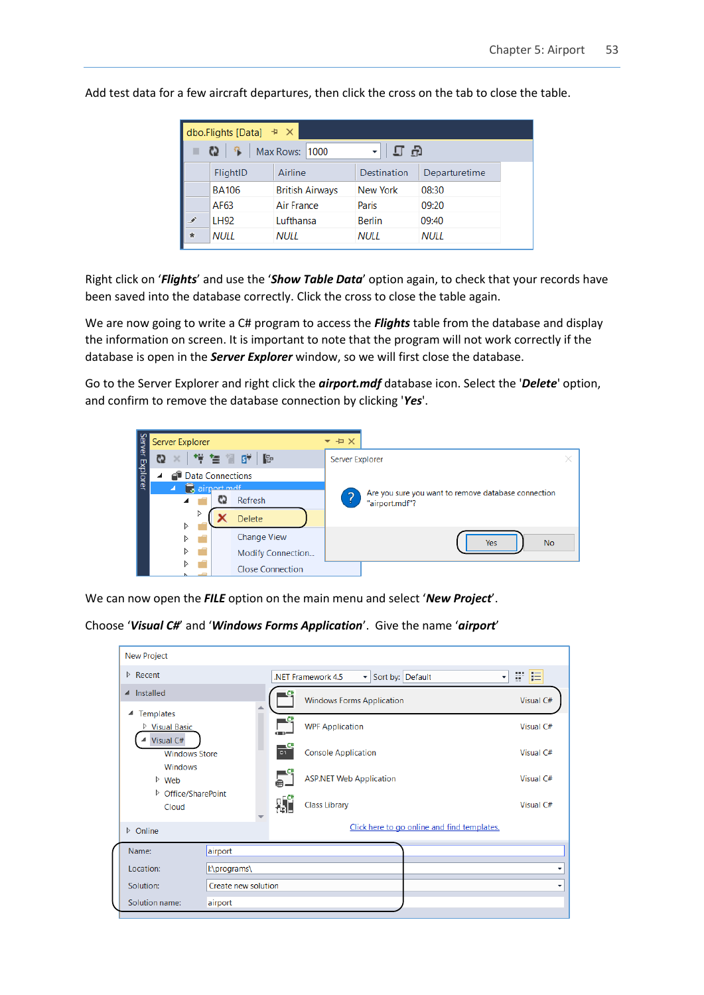|               | dbo.Flights [Data] $\pm \times$ |                        |                 |               |
|---------------|---------------------------------|------------------------|-----------------|---------------|
|               | 一覧<br>$\mathbf{c}_2$            | Max Rows: 1000         | பு ஒ            |               |
|               | FlightID                        | Airline                | Destination     | Departuretime |
|               | <b>BA106</b>                    | <b>British Airways</b> | <b>New York</b> | 08:30         |
|               | AF63                            | Air France             | Paris           | 09:20         |
| .F            | LH92                            | Lufthansa              | <b>Berlin</b>   | 09:40         |
| $\frac{1}{2}$ | <b>NULL</b>                     | NULL                   | NULL            | <b>NULL</b>   |

Add test data for a few aircraft departures, then click the cross on the tab to close the table.

Right click on '*Flights*' and use the '*Show Table Data*' option again, to check that your records have been saved into the database correctly. Click the cross to close the table again.

We are now going to write a C# program to access the *Flights* table from the database and display the information on screen. It is important to note that the program will not work correctly if the database is open in the *Server Explorer* window, so we will first close the database.

Go to the Server Explorer and right click the *airport.mdf* database icon. Select the '*Delete*' option, and confirm to remove the database connection by clicking '*Yes*'.



We can now open the *FILE* option on the main menu and select '*New Project*'.

```
Choose 'Visual C#' and 'Windows Forms Application'. Give the name 'airport'
```

| 開信<br>$\triangleright$ Recent<br>Sort by: Default<br>.NET Framework 4.5<br>$\bullet$<br>$\blacktriangledown$<br>▲ Installed<br><b>Windows Forms Application</b><br>Visual C#<br><b>Templates</b><br>◢<br>$\mathsf{C}^*$<br><b>WPF Application</b><br>Visual C#<br>▷ Visual Basic<br>(1)<br>Visual C#<br>— C#<br><b>Console Application</b><br>C <sub>1</sub><br>Visual C#<br><b>Windows Store</b><br>Windows<br><b>ASP.NET Web Application</b><br>Visual C#<br>$\triangleright$ Web<br>▷ Office/SharePoint<br><b>外</b><br><b>Class Library</b><br>Visual C#<br>Cloud<br>Click here to go online and find templates.<br>$\triangleright$ Online<br>Name:<br>airport |
|--------------------------------------------------------------------------------------------------------------------------------------------------------------------------------------------------------------------------------------------------------------------------------------------------------------------------------------------------------------------------------------------------------------------------------------------------------------------------------------------------------------------------------------------------------------------------------------------------------------------------------------------------------------------|
|                                                                                                                                                                                                                                                                                                                                                                                                                                                                                                                                                                                                                                                                    |
|                                                                                                                                                                                                                                                                                                                                                                                                                                                                                                                                                                                                                                                                    |
|                                                                                                                                                                                                                                                                                                                                                                                                                                                                                                                                                                                                                                                                    |
|                                                                                                                                                                                                                                                                                                                                                                                                                                                                                                                                                                                                                                                                    |
|                                                                                                                                                                                                                                                                                                                                                                                                                                                                                                                                                                                                                                                                    |
|                                                                                                                                                                                                                                                                                                                                                                                                                                                                                                                                                                                                                                                                    |
|                                                                                                                                                                                                                                                                                                                                                                                                                                                                                                                                                                                                                                                                    |
|                                                                                                                                                                                                                                                                                                                                                                                                                                                                                                                                                                                                                                                                    |
| l:\programs\<br>Location:<br>▼                                                                                                                                                                                                                                                                                                                                                                                                                                                                                                                                                                                                                                     |
| Create new solution<br>Solution:<br>۰                                                                                                                                                                                                                                                                                                                                                                                                                                                                                                                                                                                                                              |
| Solution name:<br>airport                                                                                                                                                                                                                                                                                                                                                                                                                                                                                                                                                                                                                                          |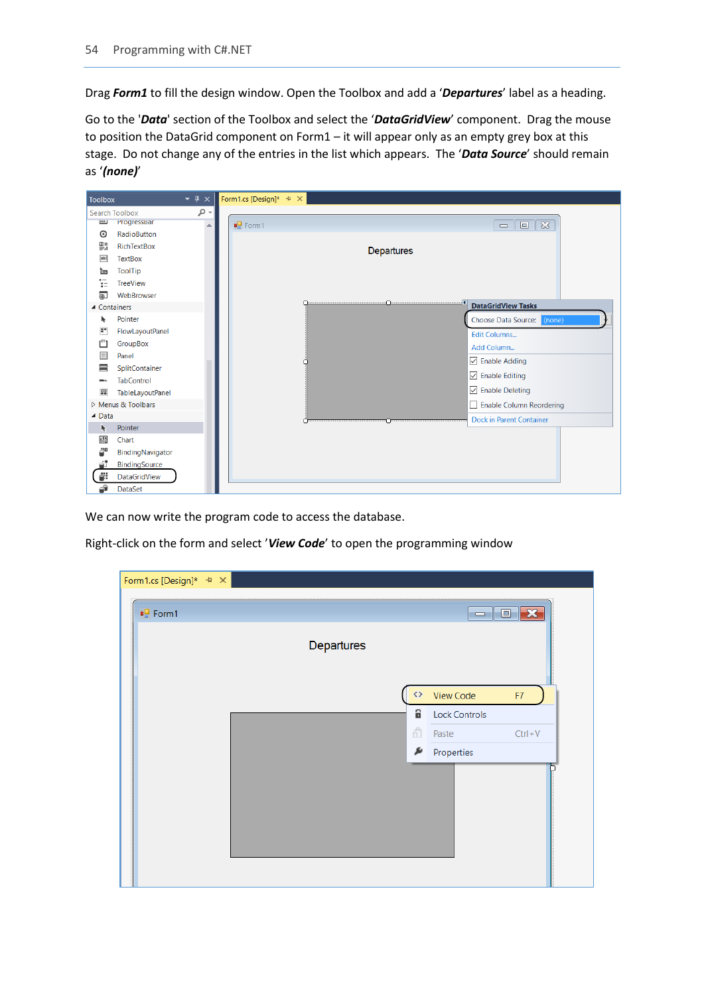Drag *Form1* to fill the design window. Open the Toolbox and add a '*Departures*' label as a heading.

Go to the '*Data*' section of the Toolbox and select the '*DataGridView*' component. Drag the mouse to position the DataGrid component on Form1 – it will appear only as an empty grey box at this stage. Do not change any of the entries in the list which appears. The '*Data Source*' should remain as '*(none)*'

| <b>Toolbox</b>              |                         | $\star$ $\uparrow$ $\times$ | Form1.cs [Design]* $\overline{+}$ $\times$ |            |                                                    |
|-----------------------------|-------------------------|-----------------------------|--------------------------------------------|------------|----------------------------------------------------|
|                             | <b>Search Toolbox</b>   | - م                         |                                            |            |                                                    |
| $\overline{\mathbf{u}}$     | ProgressBar             |                             | $\frac{1}{2}$ Form1                        |            | $\infty$<br>$\boxed{\square}$<br>$\qquad \qquad =$ |
| $\odot$                     | RadioButton             |                             |                                            |            |                                                    |
| 鸚                           | RichTextBox             |                             |                                            | Departures |                                                    |
| abl                         | <b>TextBox</b>          |                             |                                            |            |                                                    |
| ь                           | <b>ToolTip</b>          |                             |                                            |            |                                                    |
| 這                           | <b>TreeView</b>         |                             |                                            |            |                                                    |
| 匍                           | WebBrowser              |                             |                                            |            |                                                    |
| ▲ Containers                |                         |                             |                                            |            | <b>DataGridView Tasks</b>                          |
| k                           | Pointer                 |                             |                                            |            | Choose Data Source: (none)                         |
| $\mathbf{H}^{\prime\prime}$ | FlowLayoutPanel         |                             |                                            |            | Edit Columns                                       |
| ĽΊ                          | GroupBox                |                             |                                            |            | Add Column                                         |
| H                           | Panel                   |                             |                                            |            | $\sqrt{}$ Enable Adding                            |
| ≡                           | SplitContainer          |                             |                                            |            | $\sqrt{}$ Enable Editing                           |
| man.                        | <b>TabControl</b>       |                             |                                            |            |                                                    |
| 昷                           | <b>TableLayoutPanel</b> |                             |                                            |            | □ Enable Deleting                                  |
|                             | Menus & Toolbars        |                             |                                            |            | Enable Column Reordering                           |
| $\triangle$ Data            |                         |                             |                                            |            | <b>Dock in Parent Container</b>                    |
| k                           | Pointer                 |                             |                                            |            |                                                    |
| 赐                           | Chart                   |                             |                                            |            |                                                    |
| æ                           | BindingNavigator        |                             |                                            |            |                                                    |
| é.                          | BindingSource           |                             |                                            |            |                                                    |
| ġ.                          | DataGridView            |                             |                                            |            |                                                    |
| đ                           | <b>DataSet</b>          |                             |                                            |            |                                                    |

We can now write the program code to access the database.

Right-click on the form and select '*View Code*' to open the programming window

| Form1.cs [Design]* $\pm \times$ |            |                   |                      |                                                                                                                                                                                                                                                                                                                                                                                                                                                                               |
|---------------------------------|------------|-------------------|----------------------|-------------------------------------------------------------------------------------------------------------------------------------------------------------------------------------------------------------------------------------------------------------------------------------------------------------------------------------------------------------------------------------------------------------------------------------------------------------------------------|
| ■ Form1                         |            |                   |                      | $\begin{array}{c c c c c} \hline \multicolumn{3}{c }{\textbf{}} & \multicolumn{3}{c }{\textbf{}} & \multicolumn{3}{c }{\textbf{}} \\ \hline \multicolumn{3}{c }{\textbf{}} & \multicolumn{3}{c }{\textbf{}} & \multicolumn{3}{c }{\textbf{}} & \multicolumn{3}{c }{\textbf{}} & \multicolumn{3}{c }{\textbf{}} \end{array} \end{array} \begin{array}{ll} \multicolumn{3}{c }{\textbf{}} & \multicolumn{3}{c }{\textbf{}} & \multicolumn{3}{c }{\textbf{}} & \multicolumn{3}{$ |
|                                 | Departures |                   |                      |                                                                                                                                                                                                                                                                                                                                                                                                                                                                               |
|                                 |            | $\leftrightarrow$ | View Code            | F7                                                                                                                                                                                                                                                                                                                                                                                                                                                                            |
|                                 |            | ô                 | <b>Lock Controls</b> |                                                                                                                                                                                                                                                                                                                                                                                                                                                                               |
|                                 |            | ô                 | Paste                | $Ctrl + V$                                                                                                                                                                                                                                                                                                                                                                                                                                                                    |
|                                 |            | ø                 | Properties           |                                                                                                                                                                                                                                                                                                                                                                                                                                                                               |
|                                 |            |                   |                      |                                                                                                                                                                                                                                                                                                                                                                                                                                                                               |
|                                 |            |                   |                      |                                                                                                                                                                                                                                                                                                                                                                                                                                                                               |
|                                 |            |                   |                      |                                                                                                                                                                                                                                                                                                                                                                                                                                                                               |
|                                 |            |                   |                      |                                                                                                                                                                                                                                                                                                                                                                                                                                                                               |
|                                 |            |                   |                      |                                                                                                                                                                                                                                                                                                                                                                                                                                                                               |
|                                 |            |                   |                      |                                                                                                                                                                                                                                                                                                                                                                                                                                                                               |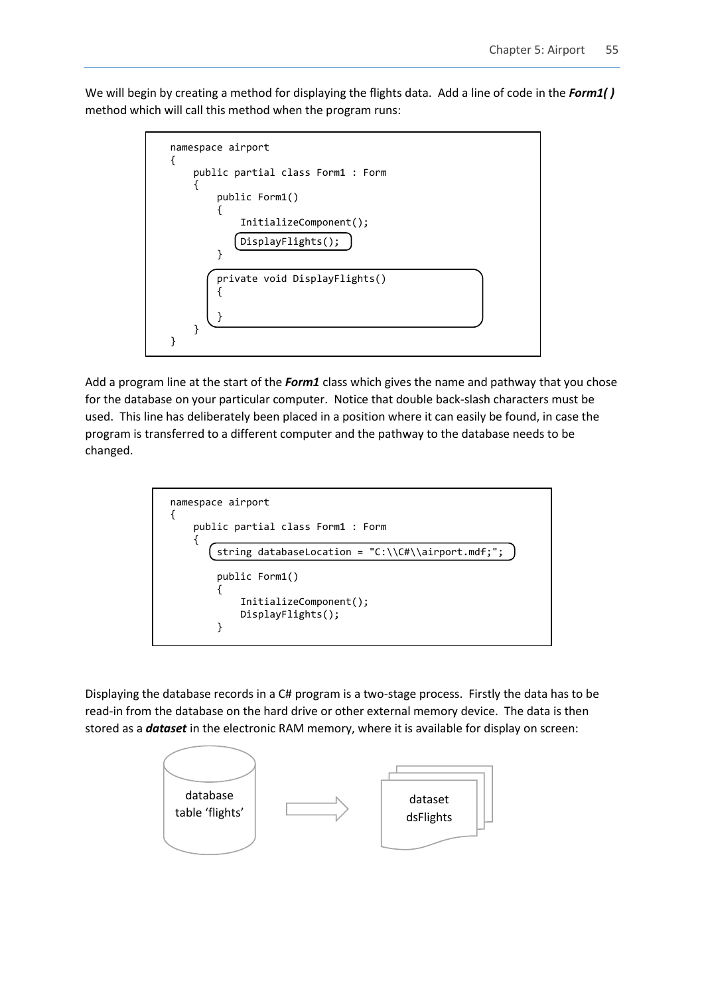We will begin by creating a method for displaying the flights data. Add a line of code in the *Form1( )* method which will call this method when the program runs:



Add a program line at the start of the *Form1* class which gives the name and pathway that you chose for the database on your particular computer. Notice that double back-slash characters must be used. This line has deliberately been placed in a position where it can easily be found, in case the program is transferred to a different computer and the pathway to the database needs to be changed.



Displaying the database records in a C# program is a two-stage process. Firstly the data has to be read-in from the database on the hard drive or other external memory device. The data is then stored as a *dataset* in the electronic RAM memory, where it is available for display on screen:

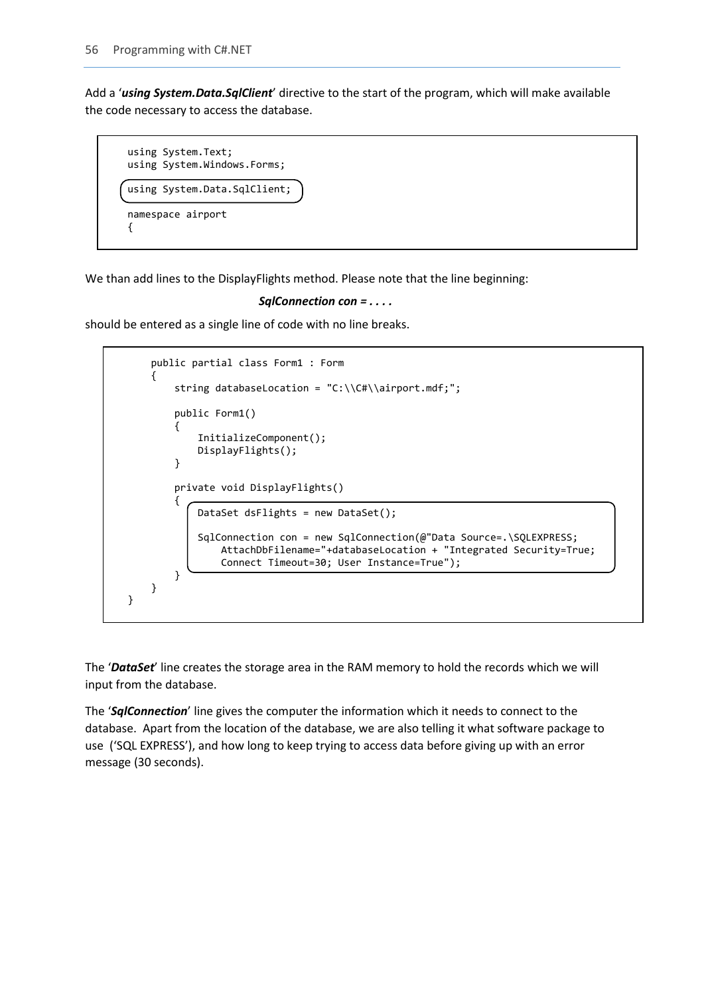Add a '*using System.Data.SqlClient*' directive to the start of the program, which will make available the code necessary to access the database.



We than add lines to the DisplayFlights method. Please note that the line beginning:

```
 SqlConnection con = . . . .
```
should be entered as a single line of code with no line breaks.

```
 public partial class Form1 : Form
\{ \{ \} string databaseLocation = "C:\\C#\\airport.mdf;";
         public Form1()
         {
              InitializeComponent();
             DisplayFlights();
         }
         private void DisplayFlights()
\overline{\mathcal{L}} DataSet dsFlights = new DataSet();
              SqlConnection con = new SqlConnection(@"Data Source=.\SQLEXPRESS;
                  AttachDbFilename="+databaseLocation + "Integrated Security=True;
                  Connect Timeout=30; User Instance=True");
         }
     }
}
```
The '*DataSet*' line creates the storage area in the RAM memory to hold the records which we will input from the database.

The '*SqlConnection*' line gives the computer the information which it needs to connect to the database. Apart from the location of the database, we are also telling it what software package to use ('SQL EXPRESS'), and how long to keep trying to access data before giving up with an error message (30 seconds).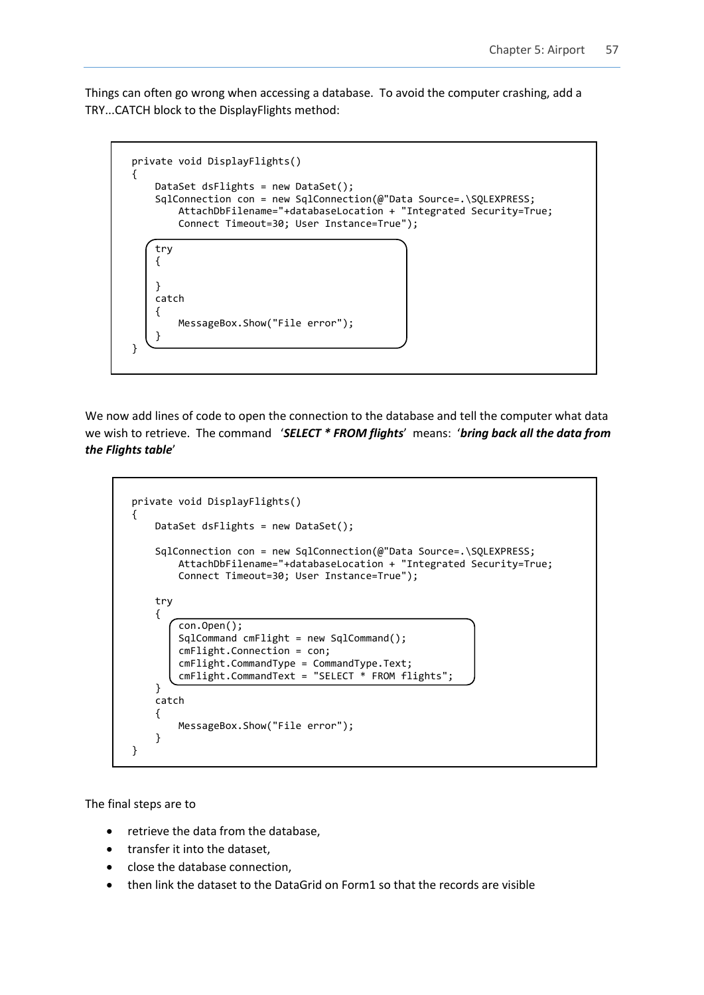Things can often go wrong when accessing a database. To avoid the computer crashing, add a TRY...CATCH block to the DisplayFlights method:



We now add lines of code to open the connection to the database and tell the computer what data we wish to retrieve. The command '*SELECT \* FROM flights*' means: '*bring back all the data from the Flights table*'

```
 private void DisplayFlights()
         {
             DataSet dsFlights = new DataSet();
             SqlConnection con = new SqlConnection(@"Data Source=.\SQLEXPRESS;
                  AttachDbFilename="+databaseLocation + "Integrated Security=True;
                  Connect Timeout=30; User Instance=True");
             try
\begin{array}{ccc} & & \end{array} con.Open();
                  SqlCommand cmFlight = new SqlCommand();
                  cmFlight.Connection = con;
                  cmFlight.CommandType = CommandType.Text;
                  cmFlight.CommandText = "SELECT * FROM flights";
 }
             catch
\begin{array}{ccc} & & \end{array} MessageBox.Show("File error");
 }
         }
```
The final steps are to

- retrieve the data from the database,
- transfer it into the dataset,
- close the database connection,
- then link the dataset to the DataGrid on Form1 so that the records are visible